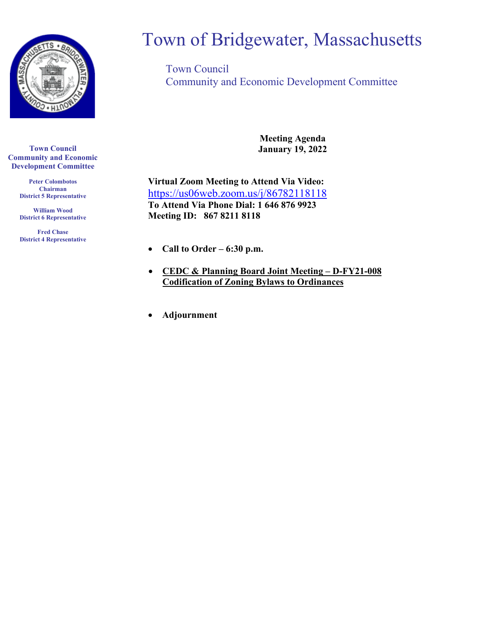

**Town Council Community and Economic Development Committee**

> **Peter Colombotos Chairman District 5 Representative**

> **William Wood District 6 Representative**

> **Fred Chase District 4 Representative**

# Town of Bridgewater, Massachusetts

Town Council Community and Economic Development Committee

> **Meeting Agenda January 19, 2022**

**Virtual Zoom Meeting to Attend Via Video:** <https://us06web.zoom.us/j/86782118118> **To Attend Via Phone Dial: 1 646 876 9923 Meeting ID: 867 8211 8118**

- **Call to Order – 6:30 p.m.**
- **CEDC & Planning Board Joint Meeting – D-FY21-008 Codification of Zoning Bylaws to Ordinances**
- **Adjournment**